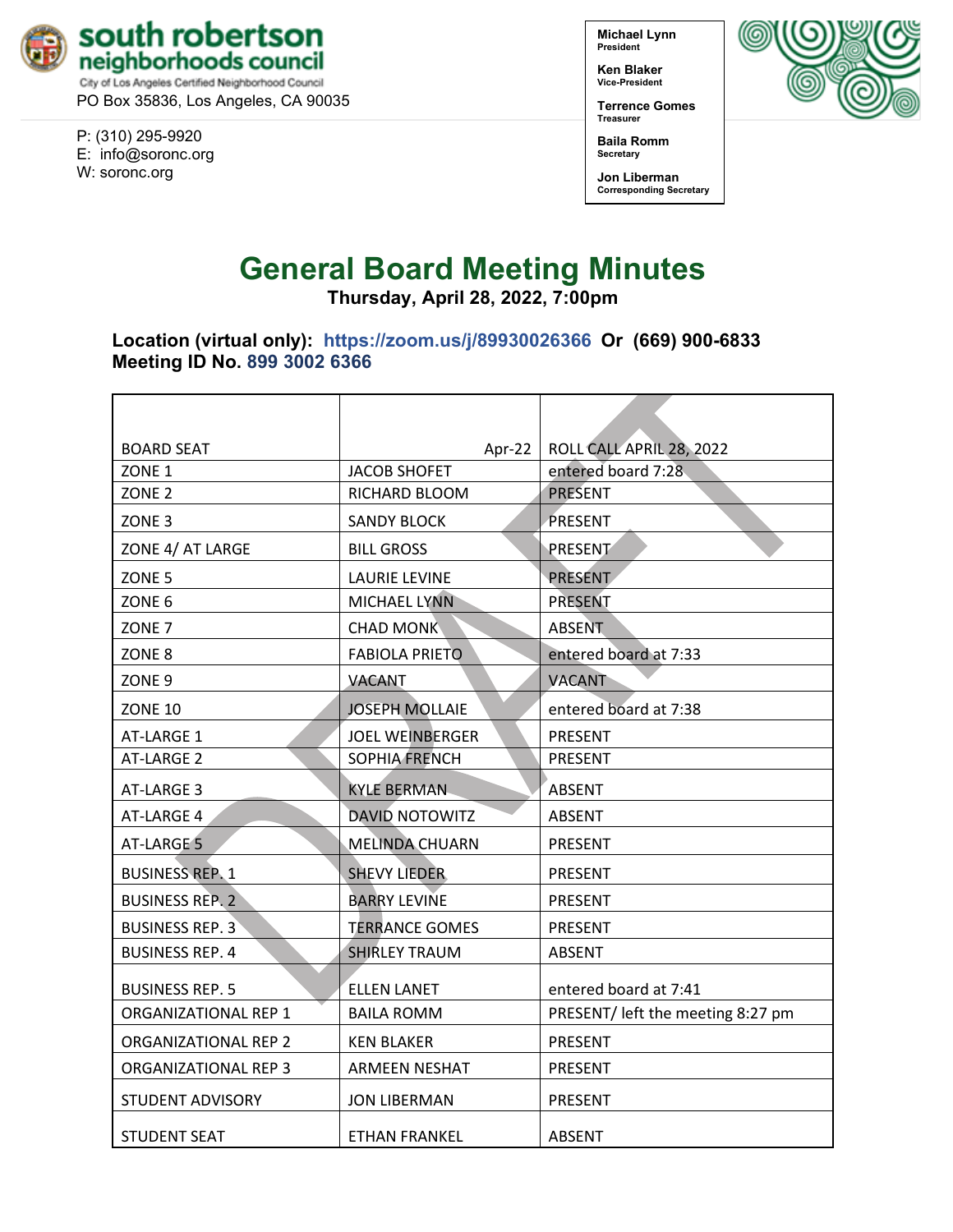

PO Box 35836, Los Angeles, CA 90035

P: (310) 295-9920 E: [info@soronc.org](mailto:info@soronc.org) W: soronc.org

**Michael Lynn President**

**Ken Blaker Vice-President**

**Terrence Gomes Treasurer**

**Baila Romm Secretary**

**Jon Liberman Corresponding Secretary**



**Thursday, April 28, 2022, 7:00pm**

**Location (virtual only):****<https://zoom.us/j/89930026366> Or (669) 900-6833 Meeting ID No. 899 3002 6366**

| <b>BOARD SEAT</b>           | Apr-22                 | ROLL CALL APRIL 28, 2022          |  |
|-----------------------------|------------------------|-----------------------------------|--|
| ZONE <sub>1</sub>           | <b>JACOB SHOFET</b>    | entered board 7:28                |  |
| ZONE <sub>2</sub>           | RICHARD BLOOM          | <b>PRESENT</b>                    |  |
| ZONE <sub>3</sub>           | <b>SANDY BLOCK</b>     | PRESENT                           |  |
| ZONE 4/ AT LARGE            | <b>BILL GROSS</b>      | PRESENT                           |  |
| ZONE <sub>5</sub>           | <b>LAURIE LEVINE</b>   | PRESENT                           |  |
| ZONE <sub>6</sub>           | <b>MICHAEL LYNN</b>    | <b>PRESENT</b>                    |  |
| ZONE <sub>7</sub>           | <b>CHAD MONK</b>       | <b>ABSENT</b>                     |  |
| ZONE <sub>8</sub>           | <b>FABIOLA PRIETO</b>  | entered board at 7:33             |  |
| ZONE <sub>9</sub>           | VACANT                 | <b>VACANT</b>                     |  |
| <b>ZONE 10</b>              | <b>JOSEPH MOLLAIE</b>  | entered board at 7:38             |  |
| AT-LARGE 1                  | <b>JOEL WEINBERGER</b> | <b>PRESENT</b>                    |  |
| AT-LARGE 2                  | <b>SOPHIA FRENCH</b>   | <b>PRESENT</b>                    |  |
| AT-LARGE 3                  | <b>KYLE BERMAN</b>     | <b>ABSENT</b>                     |  |
| AT-LARGE 4                  | <b>DAVID NOTOWITZ</b>  | <b>ABSENT</b>                     |  |
| AT-LARGE 5                  | <b>MELINDA CHUARN</b>  | <b>PRESENT</b>                    |  |
| <b>BUSINESS REP. 1</b>      | <b>SHEVY LIEDER</b>    | <b>PRESENT</b>                    |  |
| <b>BUSINESS REP. 2</b>      | <b>BARRY LEVINE</b>    | <b>PRESENT</b>                    |  |
| <b>BUSINESS REP. 3</b>      | <b>TERRANCE GOMES</b>  | <b>PRESENT</b>                    |  |
| <b>BUSINESS REP. 4</b>      | <b>SHIRLEY TRAUM</b>   | <b>ABSENT</b>                     |  |
| <b>BUSINESS REP. 5</b>      | <b>ELLEN LANET</b>     | entered board at 7:41             |  |
| ORGANIZATIONAL REP 1        | <b>BAILA ROMM</b>      | PRESENT/ left the meeting 8:27 pm |  |
| <b>ORGANIZATIONAL REP 2</b> | <b>KEN BLAKER</b>      | <b>PRESENT</b>                    |  |
| ORGANIZATIONAL REP 3        | <b>ARMEEN NESHAT</b>   | <b>PRESENT</b>                    |  |
| <b>STUDENT ADVISORY</b>     | <b>JON LIBERMAN</b>    | <b>PRESENT</b>                    |  |
| <b>STUDENT SEAT</b>         | <b>ETHAN FRANKEL</b>   | <b>ABSENT</b>                     |  |

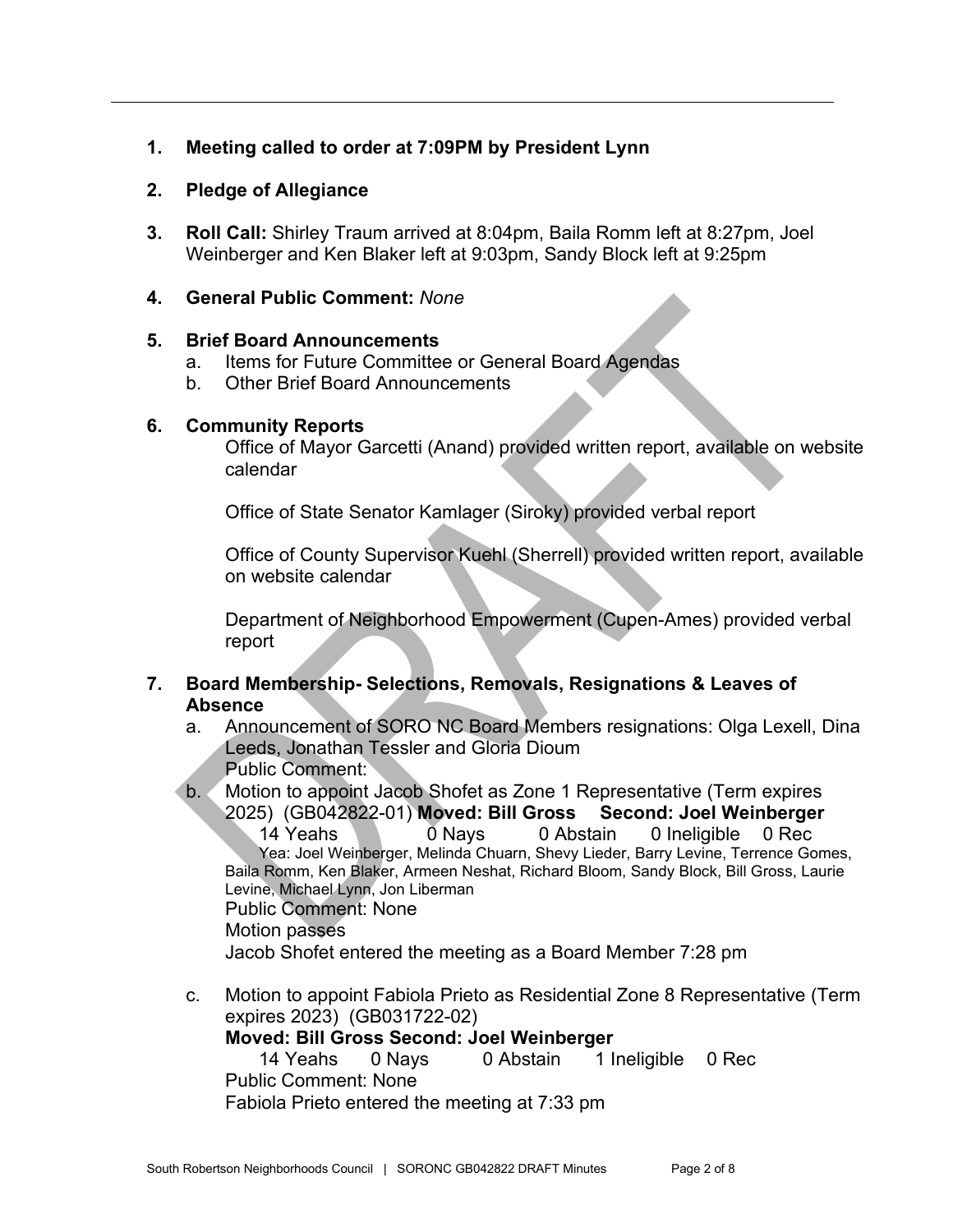# **1. Meeting called to order at 7:09PM by President Lynn**

### **2. Pledge of Allegiance**

**3. Roll Call:** Shirley Traum arrived at 8:04pm, Baila Romm left at 8:27pm, Joel Weinberger and Ken Blaker left at 9:03pm, Sandy Block left at 9:25pm

### **4. General Public Comment:** *None*

### **5. Brief Board Announcements**

- a. Items for Future Committee or General Board Agendas
- b. Other Brief Board Announcements

### **6. Community Reports**

Office of Mayor Garcetti (Anand) provided written report, available on website calendar

Office of State Senator Kamlager (Siroky) provided verbal report

Office of County Supervisor Kuehl (Sherrell) provided written report, available on website calendar

Department of Neighborhood Empowerment (Cupen-Ames) provided verbal report

## **7. Board Membership- Selections, Removals, Resignations & Leaves of Absence**

- a. Announcement of SORO NC Board Members resignations: Olga Lexell, Dina Leeds, Jonathan Tessler and Gloria Dioum Public Comment:
- b. Motion to appoint Jacob Shofet as Zone 1 Representative (Term expires 2025) (GB042822-01) **Moved: Bill Gross Second: Joel Weinberger**

 $0$  Nays  $0$  Abstain  $0$  Ineligible  $0$  Rec Yea: Joel Weinberger, Melinda Chuarn, Shevy Lieder, Barry Levine, Terrence Gomes, Baila Romm, Ken Blaker, Armeen Neshat, Richard Bloom, Sandy Block, Bill Gross, Laurie Levine, Michael Lynn, Jon Liberman

Public Comment: None

Motion passes

Jacob Shofet entered the meeting as a Board Member 7:28 pm

c. Motion to appoint Fabiola Prieto as Residential Zone 8 Representative (Term expires 2023) (GB031722-02)

#### **Moved: Bill Gross Second: Joel Weinberger**

14 Yeahs 0 Nays 0 Abstain 1 Ineligible 0 Rec Public Comment: None Fabiola Prieto entered the meeting at 7:33 pm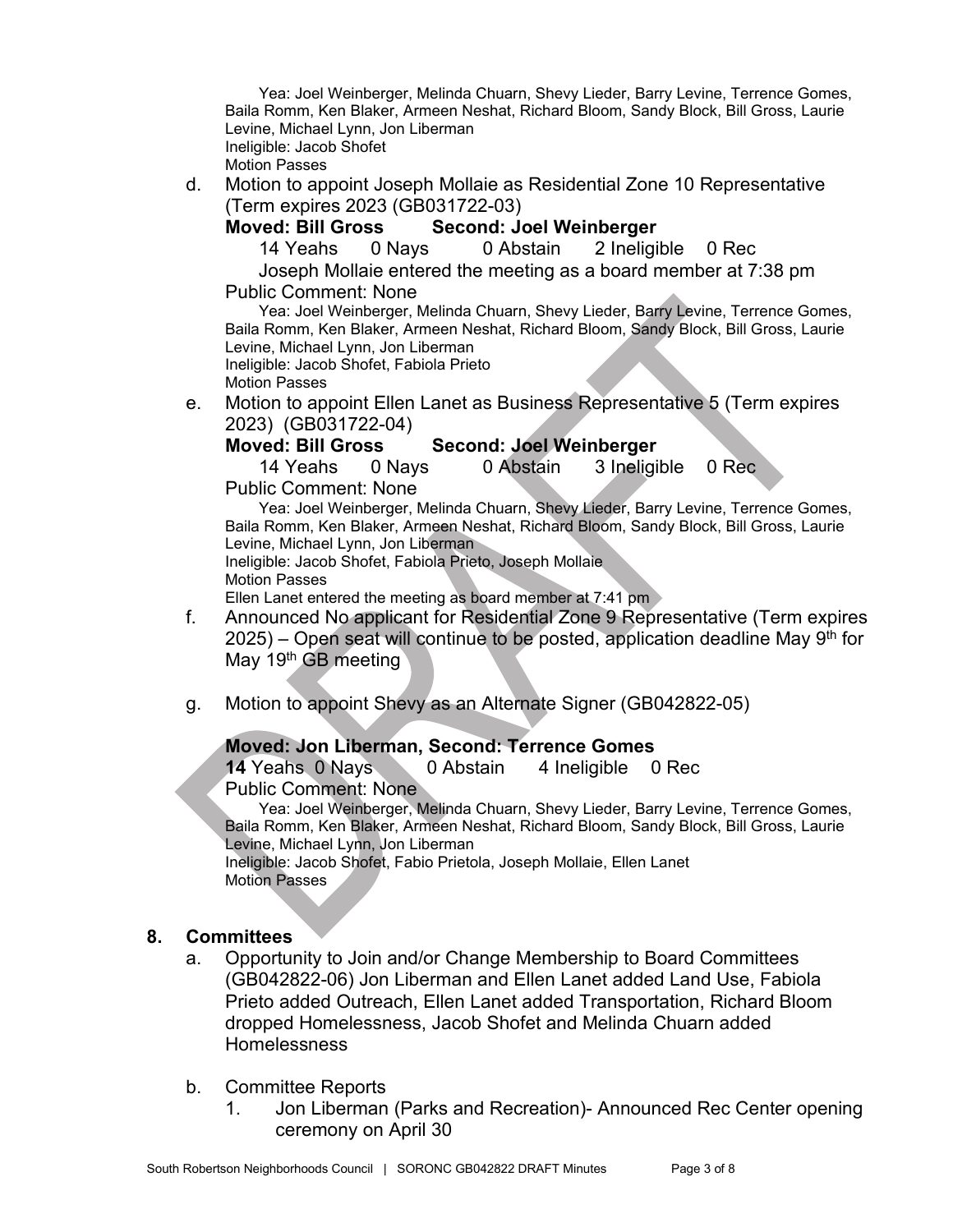Yea: Joel Weinberger, Melinda Chuarn, Shevy Lieder, Barry Levine, Terrence Gomes, Baila Romm, Ken Blaker, Armeen Neshat, Richard Bloom, Sandy Block, Bill Gross, Laurie Levine, Michael Lynn, Jon Liberman Ineligible: Jacob Shofet Motion Passes

- d. Motion to appoint Joseph Mollaie as Residential Zone 10 Representative
	- (Term expires 2023 (GB031722-03)

# **Moved: Bill Gross Second: Joel Weinberger**

14 Yeahs 0 Nays 0 Abstain 2 Ineligible 0 Rec

Joseph Mollaie entered the meeting as a board member at 7:38 pm Public Comment: None

Yea: Joel Weinberger, Melinda Chuarn, Shevy Lieder, Barry Levine, Terrence Gomes, Baila Romm, Ken Blaker, Armeen Neshat, Richard Bloom, Sandy Block, Bill Gross, Laurie Levine, Michael Lynn, Jon Liberman Ineligible: Jacob Shofet, Fabiola Prieto

Motion Passes

e. Motion to appoint Ellen Lanet as Business Representative 5 (Term expires 2023) (GB031722-04)

## **Moved: Bill Gross Second: Joel Weinberger**

14 Yeahs 0 Nays 0 Abstain 3 Ineligible 0 Rec

Public Comment: None

Yea: Joel Weinberger, Melinda Chuarn, Shevy Lieder, Barry Levine, Terrence Gomes, Baila Romm, Ken Blaker, Armeen Neshat, Richard Bloom, Sandy Block, Bill Gross, Laurie Levine, Michael Lynn, Jon Liberman Ineligible: Jacob Shofet, Fabiola Prieto, Joseph Mollaie Motion Passes

Ellen Lanet entered the meeting as board member at 7:41 pm

- f. Announced No applicant for Residential Zone 9 Representative (Term expires  $2025$ ) – Open seat will continue to be posted, application deadline May 9<sup>th</sup> for May 19<sup>th</sup> GB meeting
- g. Motion to appoint Shevy as an Alternate Signer (GB042822-05)

# **Moved: Jon Liberman, Second: Terrence Gomes**

**14** Yeahs 0 Nays 0 Abstain 4 Ineligible 0 Rec Public Comment: None

Yea: Joel Weinberger, Melinda Chuarn, Shevy Lieder, Barry Levine, Terrence Gomes, Baila Romm, Ken Blaker, Armeen Neshat, Richard Bloom, Sandy Block, Bill Gross, Laurie Levine, Michael Lynn, Jon Liberman

Ineligible: Jacob Shofet, Fabio Prietola, Joseph Mollaie, Ellen Lanet Motion Passes

## **8. Committees**

- a. Opportunity to Join and/or Change Membership to Board Committees (GB042822-06) Jon Liberman and Ellen Lanet added Land Use, Fabiola Prieto added Outreach, Ellen Lanet added Transportation, Richard Bloom dropped Homelessness, Jacob Shofet and Melinda Chuarn added Homelessness
- b. Committee Reports
	- 1. Jon Liberman (Parks and Recreation)- Announced Rec Center opening ceremony on April 30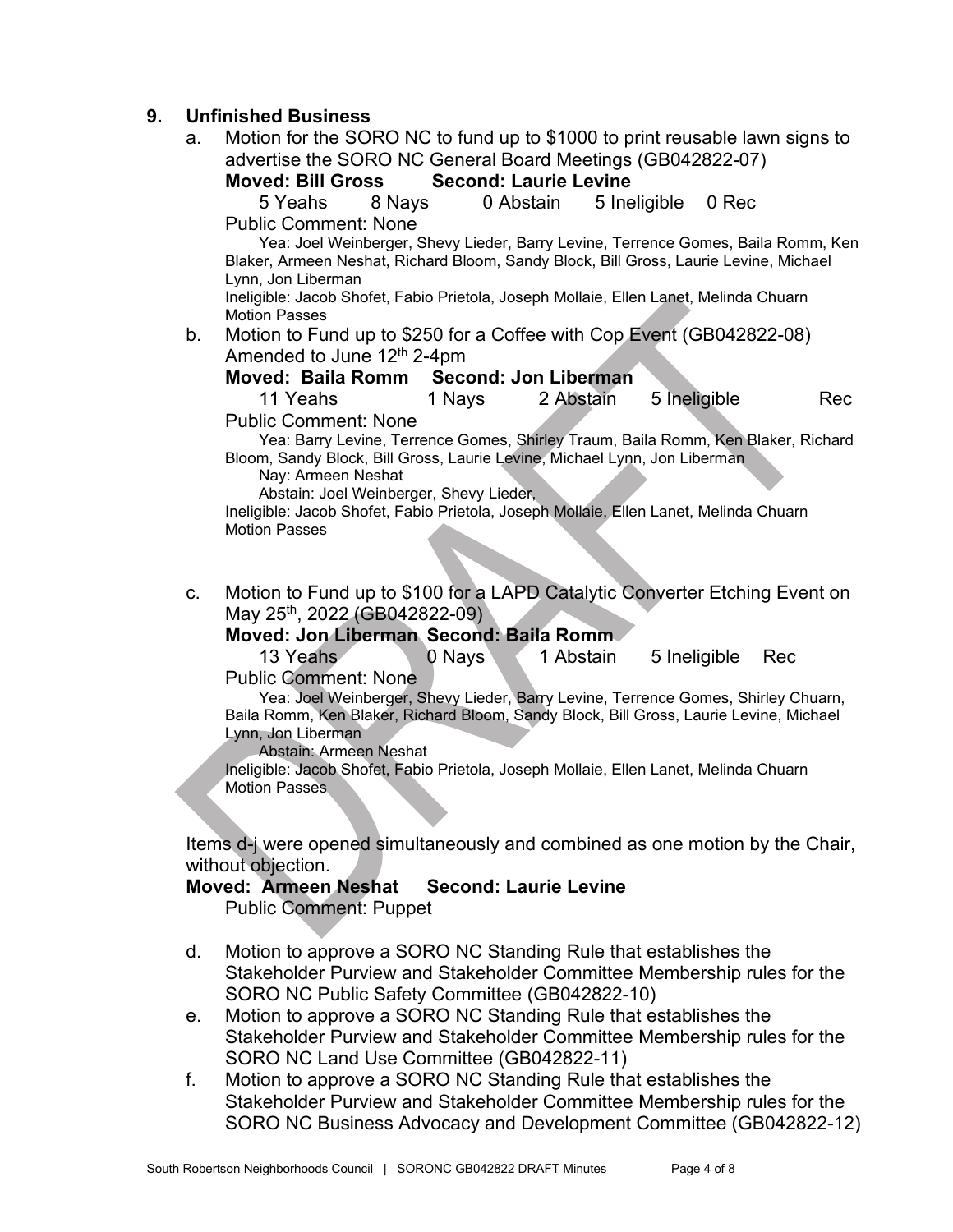## **9. Unfinished Business**

a. Motion for the SORO NC to fund up to \$1000 to print reusable lawn signs to advertise the SORO NC General Board Meetings (GB042822-07)<br>Moved: Bill Gross Second: Laurie Levine

#### **Moved: Bill Gross Second: Laurie Levine**

5 Yeahs 8 Nays 0 Abstain 5 Ineligible 0 Rec

Public Comment: None

Yea: Joel Weinberger, Shevy Lieder, Barry Levine, Terrence Gomes, Baila Romm, Ken Blaker, Armeen Neshat, Richard Bloom, Sandy Block, Bill Gross, Laurie Levine, Michael Lynn, Jon Liberman

Ineligible: Jacob Shofet, Fabio Prietola, Joseph Mollaie, Ellen Lanet, Melinda Chuarn Motion Passes

b. Motion to Fund up to \$250 for a Coffee with Cop Event (GB042822-08) Amended to June 12<sup>th</sup> 2-4pm

## **Moved: Baila Romm Second: Jon Liberman**

11 Yeahs 1 Nays 2 Abstain 5 Ineligible Rec Public Comment: None

Yea: Barry Levine, Terrence Gomes, Shirley Traum, Baila Romm, Ken Blaker, Richard Bloom, Sandy Block, Bill Gross, Laurie Levine, Michael Lynn, Jon Liberman

Nay: Armeen Neshat

Abstain: Joel Weinberger, Shevy Lieder,

Ineligible: Jacob Shofet, Fabio Prietola, Joseph Mollaie, Ellen Lanet, Melinda Chuarn Motion Passes

c. Motion to Fund up to \$100 for a LAPD Catalytic Converter Etching Event on May 25th, 2022 (GB042822-09)

## **Moved: Jon Liberman Second: Baila Romm**

13 Yeahs **0 Nays** 1 Abstain 5 Ineligible Rec Public Comment: None

Yea: Joel Weinberger, Shevy Lieder, Barry Levine, Terrence Gomes, Shirley Chuarn, Baila Romm, Ken Blaker, Richard Bloom, Sandy Block, Bill Gross, Laurie Levine, Michael Lynn, Jon Liberman

Abstain: Armeen Neshat

Ineligible: Jacob Shofet, Fabio Prietola, Joseph Mollaie, Ellen Lanet, Melinda Chuarn Motion Passes

Items d-j were opened simultaneously and combined as one motion by the Chair, without objection.

## **Moved: Armeen Neshat Second: Laurie Levine**

Public Comment: Puppet

- d. Motion to approve a SORO NC Standing Rule that establishes the Stakeholder Purview and Stakeholder Committee Membership rules for the SORO NC Public Safety Committee (GB042822-10)
- e. Motion to approve a SORO NC Standing Rule that establishes the Stakeholder Purview and Stakeholder Committee Membership rules for the SORO NC Land Use Committee (GB042822-11)
- f. Motion to approve a SORO NC Standing Rule that establishes the Stakeholder Purview and Stakeholder Committee Membership rules for the SORO NC Business Advocacy and Development Committee (GB042822-12)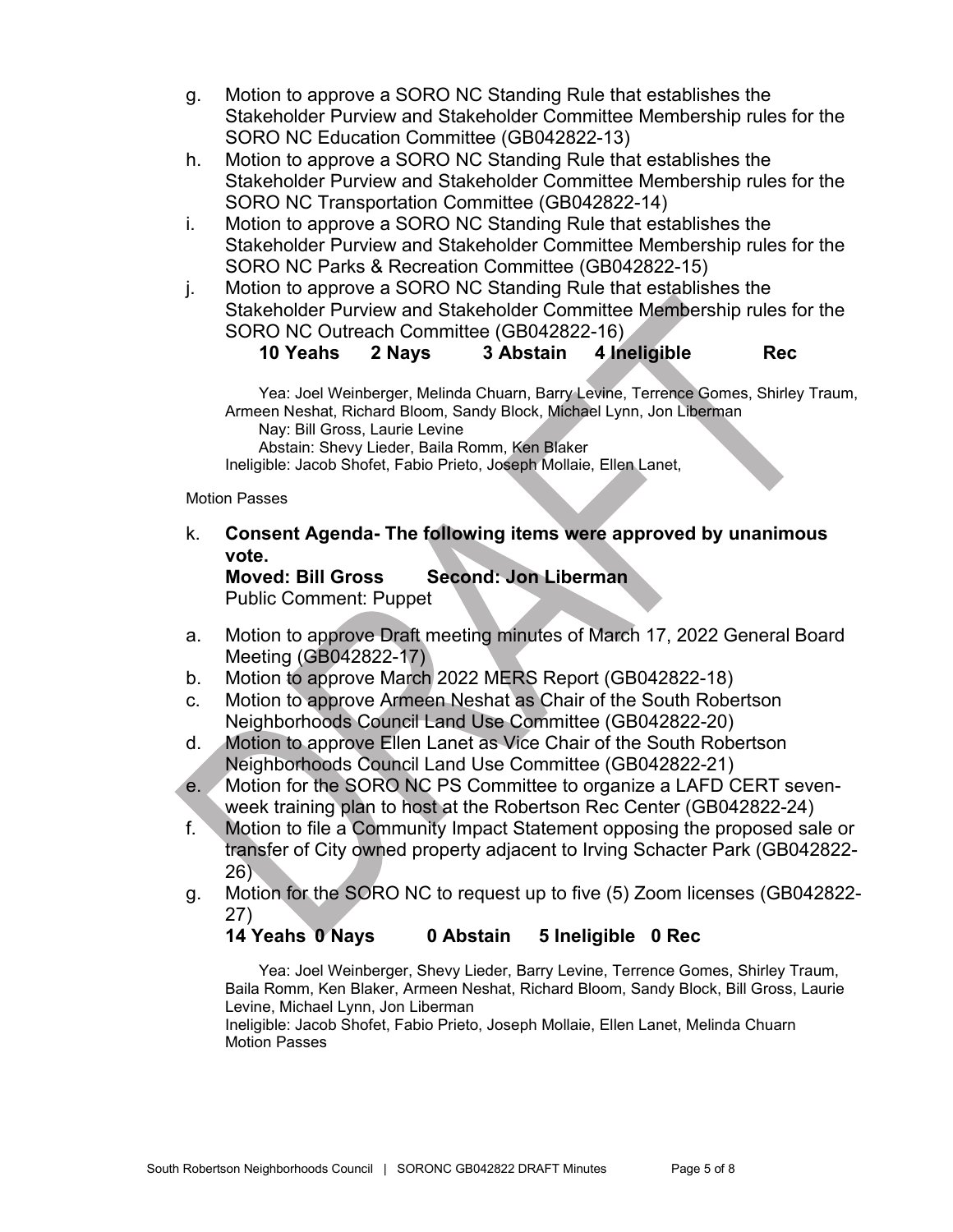- g. Motion to approve a SORO NC Standing Rule that establishes the Stakeholder Purview and Stakeholder Committee Membership rules for the SORO NC Education Committee (GB042822-13)
- h. Motion to approve a SORO NC Standing Rule that establishes the Stakeholder Purview and Stakeholder Committee Membership rules for the SORO NC Transportation Committee (GB042822-14)
- i. Motion to approve a SORO NC Standing Rule that establishes the Stakeholder Purview and Stakeholder Committee Membership rules for the SORO NC Parks & Recreation Committee (GB042822-15)
- j. Motion to approve a SORO NC Standing Rule that establishes the Stakeholder Purview and Stakeholder Committee Membership rules for the SORO NC Outreach Committee (GB042822-16)

# **10 Yeahs 2 Nays 3 Abstain 4 Ineligible Rec**

Yea: Joel Weinberger, Melinda Chuarn, Barry Levine, Terrence Gomes, Shirley Traum, Armeen Neshat, Richard Bloom, Sandy Block, Michael Lynn, Jon Liberman

Nay: Bill Gross, Laurie Levine

Abstain: Shevy Lieder, Baila Romm, Ken Blaker

Ineligible: Jacob Shofet, Fabio Prieto, Joseph Mollaie, Ellen Lanet,

#### Motion Passes

k. **Consent Agenda- The following items were approved by unanimous vote.**

**Moved: Bill Gross Second: Jon Liberman** Public Comment: Puppet

- a. Motion to approve Draft meeting minutes of March 17, 2022 General Board Meeting (GB042822-17)
- b. Motion to approve March 2022 MERS Report (GB042822-18)
- c. Motion to approve Armeen Neshat as Chair of the South Robertson Neighborhoods Council Land Use Committee (GB042822-20)
- d. Motion to approve Ellen Lanet as Vice Chair of the South Robertson Neighborhoods Council Land Use Committee (GB042822-21)
- e. Motion for the SORO NC PS Committee to organize a LAFD CERT sevenweek training plan to host at the Robertson Rec Center (GB042822-24)
- f. Motion to file a Community Impact Statement opposing the proposed sale or transfer of City owned property adjacent to Irving Schacter Park (GB042822- 26)
- g. Motion for the SORO NC to request up to five (5) Zoom licenses (GB042822- 27)

# **14 Yeahs 0 Nays 0 Abstain 5 Ineligible 0 Rec**

Yea: Joel Weinberger, Shevy Lieder, Barry Levine, Terrence Gomes, Shirley Traum, Baila Romm, Ken Blaker, Armeen Neshat, Richard Bloom, Sandy Block, Bill Gross, Laurie Levine, Michael Lynn, Jon Liberman

Ineligible: Jacob Shofet, Fabio Prieto, Joseph Mollaie, Ellen Lanet, Melinda Chuarn Motion Passes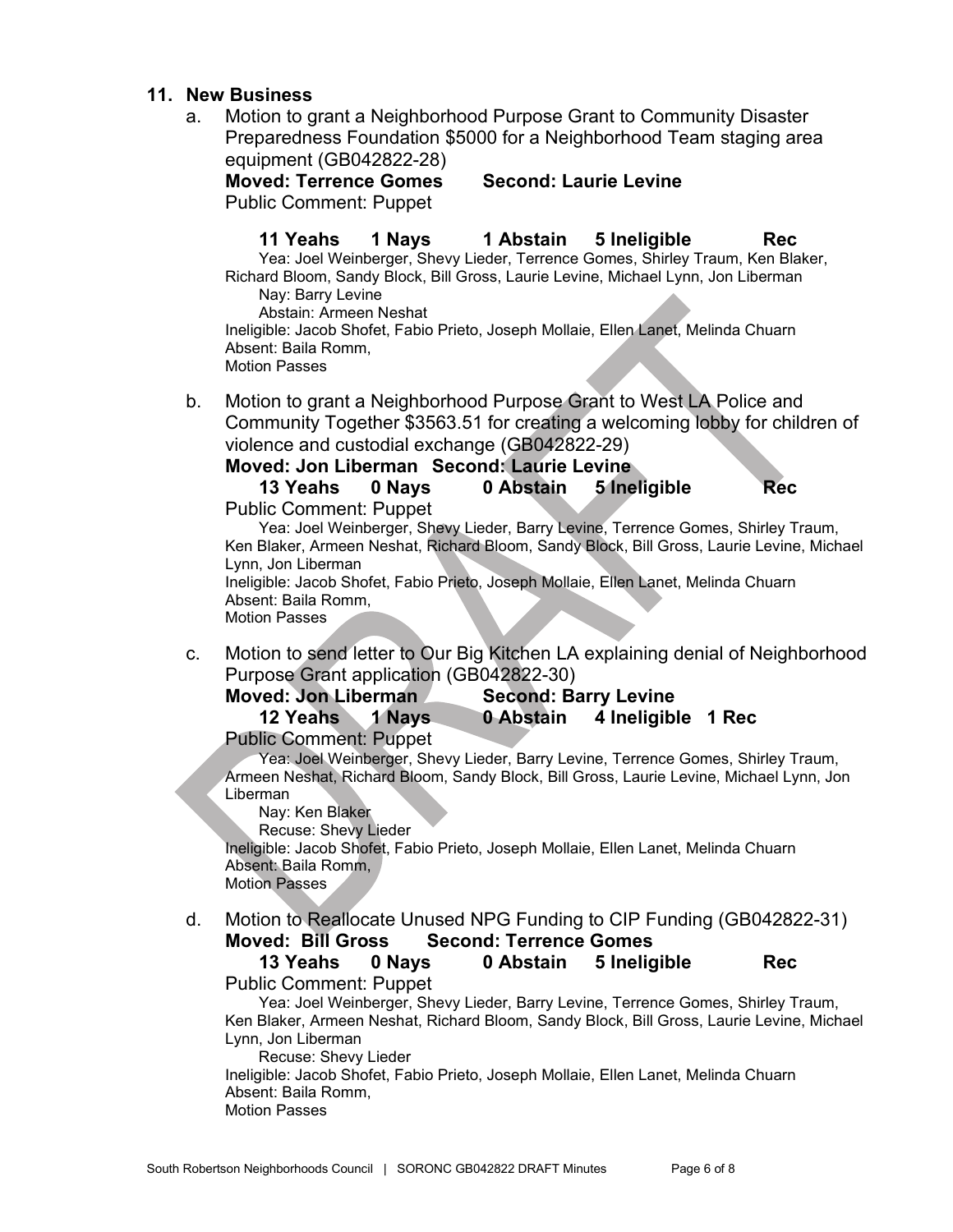#### **11. New Business**

a. Motion to grant a Neighborhood Purpose Grant to Community Disaster Preparedness Foundation \$5000 for a Neighborhood Team staging area equipment (GB042822-28)

**Moved: Terrence Gomes Second: Laurie Levine** Public Comment: Puppet

**11 Yeahs 1 Nays 1 Abstain 5 Ineligible Rec**

Yea: Joel Weinberger, Shevy Lieder, Terrence Gomes, Shirley Traum, Ken Blaker, Richard Bloom, Sandy Block, Bill Gross, Laurie Levine, Michael Lynn, Jon Liberman Nay: Barry Levine

Abstain: Armeen Neshat

Ineligible: Jacob Shofet, Fabio Prieto, Joseph Mollaie, Ellen Lanet, Melinda Chuarn Absent: Baila Romm,

Motion Passes

b. Motion to grant a Neighborhood Purpose Grant to West LA Police and Community Together \$3563.51 for creating a welcoming lobby for children of violence and custodial exchange (GB042822-29)

| Moved: Jon Liberman Second: Laurie Levine                           |  |                        |            |
|---------------------------------------------------------------------|--|------------------------|------------|
| 13 Yeahs 0 Nays                                                     |  | 0 Abstain 5 Ineligible | <b>Rec</b> |
| $\mathsf{D}$ . Islic $\mathsf{D}$ cususcust. $\mathsf{D}$ . usus at |  |                        |            |

Public Comment: Puppet

Yea: Joel Weinberger, Shevy Lieder, Barry Levine, Terrence Gomes, Shirley Traum, Ken Blaker, Armeen Neshat, Richard Bloom, Sandy Block, Bill Gross, Laurie Levine, Michael Lynn, Jon Liberman

Ineligible: Jacob Shofet, Fabio Prieto, Joseph Mollaie, Ellen Lanet, Melinda Chuarn Absent: Baila Romm,

Motion Passes

c. Motion to send letter to Our Big Kitchen LA explaining denial of Neighborhood Purpose Grant application (GB042822-30)

| <b>Moved: Jon Liberman</b> | <b>Second: Barry Levine</b> |
|----------------------------|-----------------------------|
|----------------------------|-----------------------------|

**12 Yeahs 1 Nays 0 Abstain 4 Ineligible 1 Rec**

Public Comment: Puppet

Yea: Joel Weinberger, Shevy Lieder, Barry Levine, Terrence Gomes, Shirley Traum, Armeen Neshat, Richard Bloom, Sandy Block, Bill Gross, Laurie Levine, Michael Lynn, Jon Liberman

Nay: Ken Blaker

Recuse: Shevy Lieder

Ineligible: Jacob Shofet, Fabio Prieto, Joseph Mollaie, Ellen Lanet, Melinda Chuarn Absent: Baila Romm,

Motion Passes

d. Motion to Reallocate Unused NPG Funding to CIP Funding (GB042822-31) **Moved: Bill Gross Second: Terrence Gomes**

**13 Yeahs 0 Nays 0 Abstain 5 Ineligible Rec** Public Comment: Puppet

Yea: Joel Weinberger, Shevy Lieder, Barry Levine, Terrence Gomes, Shirley Traum, Ken Blaker, Armeen Neshat, Richard Bloom, Sandy Block, Bill Gross, Laurie Levine, Michael Lynn, Jon Liberman

Recuse: Shevy Lieder

Ineligible: Jacob Shofet, Fabio Prieto, Joseph Mollaie, Ellen Lanet, Melinda Chuarn Absent: Baila Romm, Motion Passes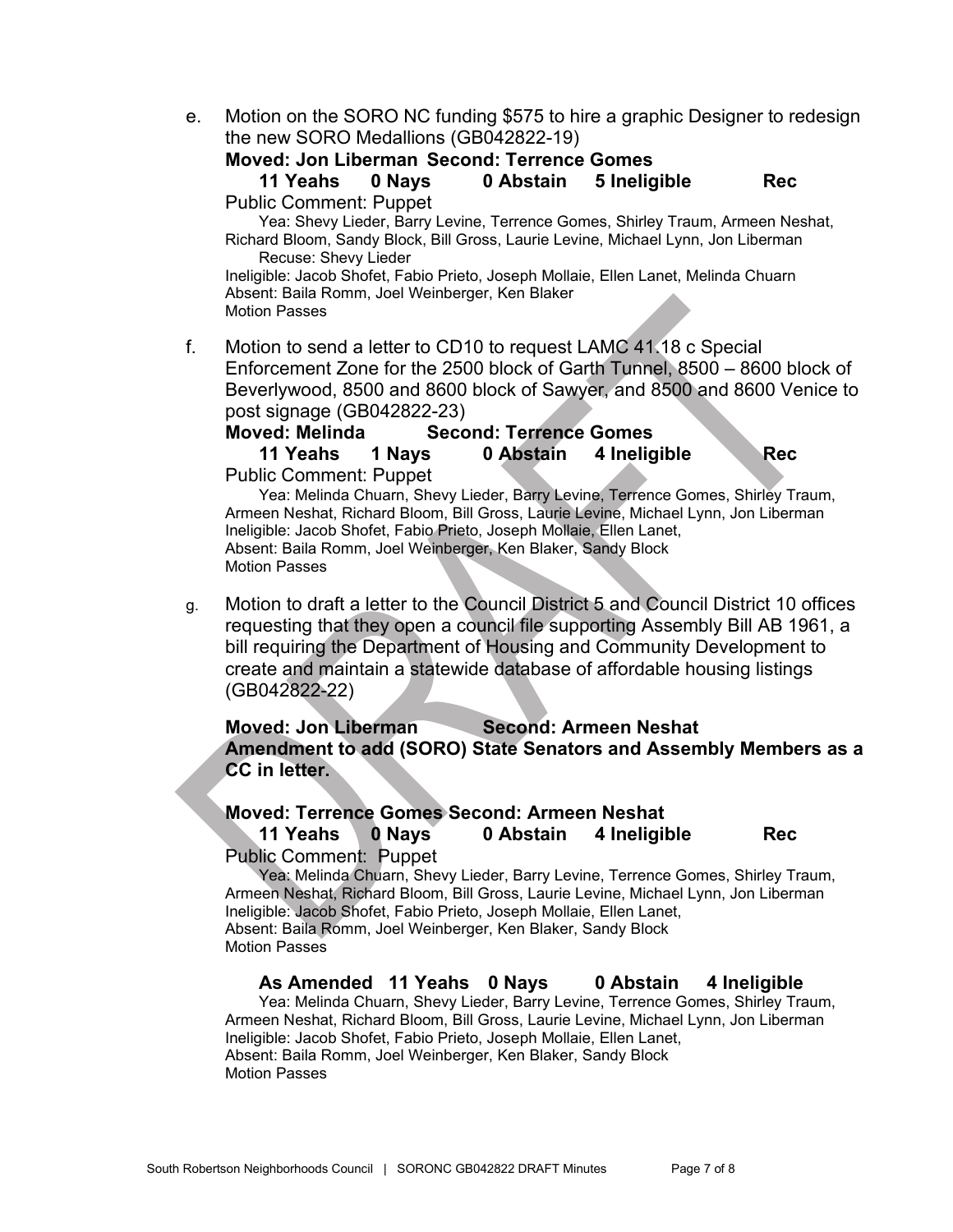e. Motion on the SORO NC funding \$575 to hire a graphic Designer to redesign the new SORO Medallions (GB042822-19)

### **Moved: Jon Liberman Second: Terrence Gomes**

**11 Yeahs 0 Nays 0 Abstain 5 Ineligible Rec** Public Comment: Puppet

Yea: Shevy Lieder, Barry Levine, Terrence Gomes, Shirley Traum, Armeen Neshat, Richard Bloom, Sandy Block, Bill Gross, Laurie Levine, Michael Lynn, Jon Liberman Recuse: Shevy Lieder

Ineligible: Jacob Shofet, Fabio Prieto, Joseph Mollaie, Ellen Lanet, Melinda Chuarn Absent: Baila Romm, Joel Weinberger, Ken Blaker Motion Passes

f. Motion to send a letter to CD10 to request LAMC 41.18 c Special Enforcement Zone for the 2500 block of Garth Tunnel, 8500 – 8600 block of Beverlywood, 8500 and 8600 block of Sawyer, and 8500 and 8600 Venice to post signage (GB042822-23)

#### **Moved: Melinda Second: Terrence Gomes**

**11 Yeahs 1 Nays 0 Abstain 4 Ineligible Rec** Public Comment: Puppet

Yea: Melinda Chuarn, Shevy Lieder, Barry Levine, Terrence Gomes, Shirley Traum, Armeen Neshat, Richard Bloom, Bill Gross, Laurie Levine, Michael Lynn, Jon Liberman Ineligible: Jacob Shofet, Fabio Prieto, Joseph Mollaie, Ellen Lanet, Absent: Baila Romm, Joel Weinberger, Ken Blaker, Sandy Block Motion Passes

g. Motion to draft a letter to the Council District 5 and Council District 10 offices requesting that they open a council file supporting Assembly Bill AB 1961, a bill requiring the Department of Housing and Community Development to create and maintain a statewide database of affordable housing listings (GB042822-22)

**Moved: Jon Liberman Second: Armeen Neshat Amendment to add (SORO) State Senators and Assembly Members as a CC in letter.** 

#### **Moved: Terrence Gomes Second: Armeen Neshat**

**11 Yeahs 0 Nays 0 Abstain 4 Ineligible Rec** Public Comment: Puppet

Yea: Melinda Chuarn, Shevy Lieder, Barry Levine, Terrence Gomes, Shirley Traum, Armeen Neshat, Richard Bloom, Bill Gross, Laurie Levine, Michael Lynn, Jon Liberman Ineligible: Jacob Shofet, Fabio Prieto, Joseph Mollaie, Ellen Lanet, Absent: Baila Romm, Joel Weinberger, Ken Blaker, Sandy Block Motion Passes

**As Amended 11 Yeahs 0 Nays 0 Abstain 4 Ineligible**

Yea: Melinda Chuarn, Shevy Lieder, Barry Levine, Terrence Gomes, Shirley Traum, Armeen Neshat, Richard Bloom, Bill Gross, Laurie Levine, Michael Lynn, Jon Liberman Ineligible: Jacob Shofet, Fabio Prieto, Joseph Mollaie, Ellen Lanet, Absent: Baila Romm, Joel Weinberger, Ken Blaker, Sandy Block Motion Passes